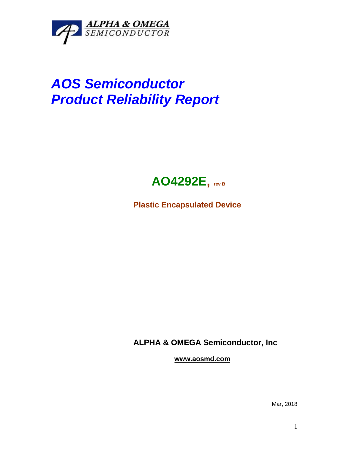

## *AOS Semiconductor Product Reliability Report*



**Plastic Encapsulated Device**

**ALPHA & OMEGA Semiconductor, Inc**

**www.aosmd.com**

Mar, 2018